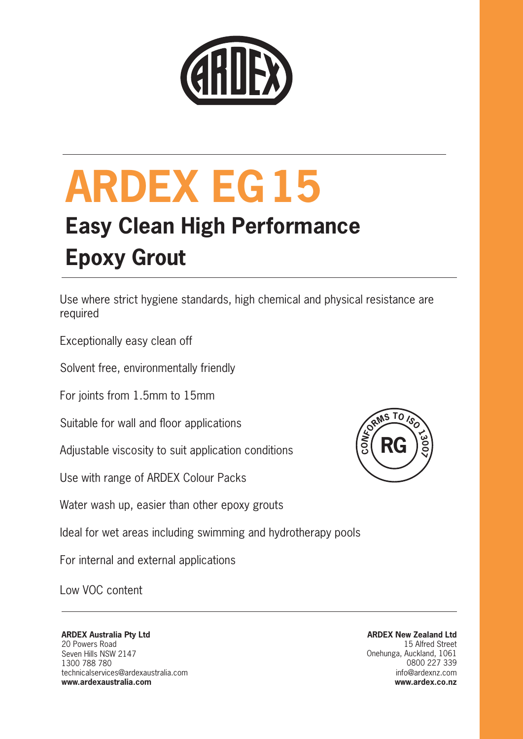

### **Easy Clean High Performance Epoxy Grout**

Use where strict hygiene standards, high chemical and physical resistance are required

Exceptionally easy clean off

Solvent free, environmentally friendly

For joints from 1.5mm to 15mm

Suitable for wall and floor applications

Adjustable viscosity to suit application conditions

Use with range of ARDEX Colour Packs

Water wash up, easier than other epoxy grouts



Ideal for wet areas including swimming and hydrotherapy pools

For internal and external applications

Low VOC content

### **ARDEX Australia Pty Ltd** 20 Powers Road Seven Hills NSW 2147 1300 788 780

technicalservices@ardexaustralia.com **www.ardexaustralia.com**

**ARDEX New Zealand Ltd** 15 Alfred Street Onehunga, Auckland, 1061 0800 227 339 info@ardexnz.com **www.ardex.co.nz**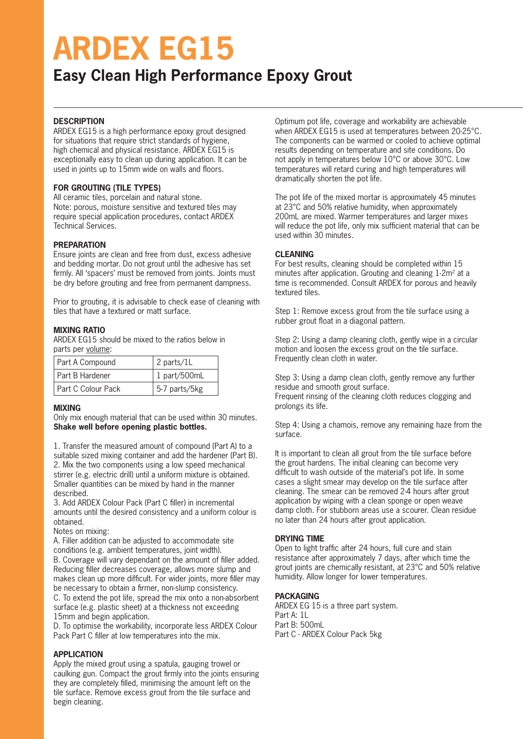### **Easy Clean High Performance Epoxy Grout**

### **DESCRIPTION**

ARDEX EG15 is a high performance epoxy grout designed for situations that require strict standards of hygiene, high chemical and physical resistance. ARDEX EG15 is exceptionally easy to clean up during application. It can be used in joints up to 15mm wide on walls and floors.

### **FOR GROUTING (TILE TYPES)**

All ceramic tiles, porcelain and natural stone. Note: porous, moisture sensitive and textured tiles may require special application procedures, contact ARDEX Technical Services.

### **PREPARATION**

Ensure joints are clean and free from dust, excess adhesive and bedding mortar. Do not grout until the adhesive has set firmly. All 'spacers' must be removed from joints. Joints must be dry before grouting and free from permanent dampness.

Prior to grouting, it is advisable to check ease of cleaning with tiles that have a textured or matt surface.

### **MIXING RATIO**

ARDEX EG15 should be mixed to the ratios below in parts per volume:

| <b>Part A Compound</b> | 2 parts/1L    |
|------------------------|---------------|
| Part B Hardener        | 1 part/500mL  |
| Part C Colour Pack     | 5-7 parts/5kg |
|                        |               |

### **MIXING**

Only mix enough material that can be used within 30 minutes. **Shake well before opening plastic bottles.**

1. Transfer the measured amount of compound (Part A) to a suitable sized mixing container and add the hardener (Part B). 2. Mix the two components using a low speed mechanical stirrer (e.g. electric drill) until a uniform mixture is obtained. Smaller quantities can be mixed by hand in the manner described.

3. Add ARDEX Colour Pack (Part C filler) in incremental amounts until the desired consistency and a uniform colour is obtained.

Notes on mixing:

A. Filler addition can be adjusted to accommodate site conditions (e.g. ambient temperatures, joint width). B. Coverage will vary dependant on the amount of filler added. Reducing filler decreases coverage, allows more slump and

makes clean up more difficult. For wider joints, more filler may be necessary to obtain a firmer, non-slump consistency. C. To extend the pot life, spread the mix onto a non-absorbent

surface (e.g. plastic sheet) at a thickness not exceeding 15mm and begin application.

D. To optimise the workability, incorporate less ARDEX Colour Pack Part C filler at low temperatures into the mix.

### **APPLICATION**

Apply the mixed grout using a spatula, gauging trowel or caulking gun. Compact the grout firmly into the joints ensuring they are completely filled, minimising the amount left on the tile surface. Remove excess grout from the tile surface and begin cleaning.

Optimum pot life, coverage and workability are achievable when ARDEX EG15 is used at temperatures between 20-25°C. The components can be warmed or cooled to achieve optimal results depending on temperature and site conditions. Do not apply in temperatures below 10°C or above 30°C. Low temperatures will retard curing and high temperatures will dramatically shorten the pot life.

The pot life of the mixed mortar is approximately 45 minutes at 23°C and 50% relative humidity, when approximately 200mL are mixed. Warmer temperatures and larger mixes will reduce the pot life, only mix sufficient material that can be used within 30 minutes.

### **CLEANING**

For best results, cleaning should be completed within 15 minutes after application. Grouting and cleaning 1-2m<sup>2</sup> at a time is recommended. Consult ARDEX for porous and heavily textured tiles.

Step 1: Remove excess grout from the tile surface using a rubber grout float in a diagonal pattern.

Step 2: Using a damp cleaning cloth, gently wipe in a circular motion and loosen the excess grout on the tile surface. Frequently clean cloth in water.

Step 3: Using a damp clean cloth, gently remove any further residue and smooth grout surface. Frequent rinsing of the cleaning cloth reduces clogging and prolongs its life.

Step 4: Using a chamois, remove any remaining haze from the surface.

It is important to clean all grout from the tile surface before the grout hardens. The initial cleaning can become very difficult to wash outside of the material's pot life. In some cases a slight smear may develop on the tile surface after cleaning. The smear can be removed 2-4 hours after grout application by wiping with a clean sponge or open weave damp cloth. For stubborn areas use a scourer. Clean residue no later than 24 hours after grout application.

### **DRYING TIME**

Open to light traffic after 24 hours, full cure and stain resistance after approximately 7 days, after which time the grout joints are chemically resistant, at 23°C and 50% relative humidity. Allow longer for lower temperatures.

### **PACKAGING**

ARDEX EG 15 is a three part system. Part A: 1L Part B: 500mL Part C - ARDEX Colour Pack 5kg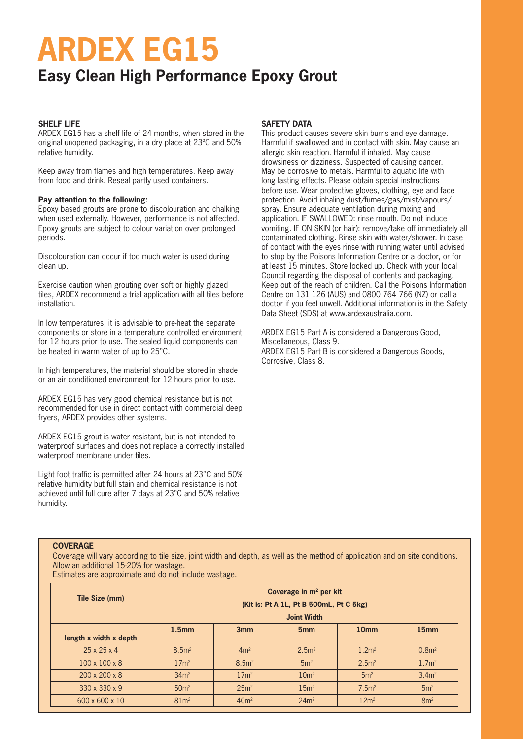### **Easy Clean High Performance Epoxy Grout**

### **SHELF LIFE**

ARDEX EG15 has a shelf life of 24 months, when stored in the original unopened packaging, in a dry place at 23ºC and 50% relative humidity.

Keep away from flames and high temperatures. Keep away from food and drink. Reseal partly used containers.

#### **Pay attention to the following:**

Epoxy based grouts are prone to discolouration and chalking when used externally. However, performance is not affected. Epoxy grouts are subject to colour variation over prolonged periods.

Discolouration can occur if too much water is used during clean up.

Exercise caution when grouting over soft or highly glazed tiles, ARDEX recommend a trial application with all tiles before installation.

In low temperatures, it is advisable to pre-heat the separate components or store in a temperature controlled environment for 12 hours prior to use. The sealed liquid components can be heated in warm water of up to 25°C.

In high temperatures, the material should be stored in shade or an air conditioned environment for 12 hours prior to use.

ARDEX EG15 has very good chemical resistance but is not recommended for use in direct contact with commercial deep fryers, ARDEX provides other systems.

ARDEX EG15 grout is water resistant, but is not intended to waterproof surfaces and does not replace a correctly installed waterproof membrane under tiles.

Light foot traffic is permitted after 24 hours at 23°C and 50% relative humidity but full stain and chemical resistance is not achieved until full cure after 7 days at 23°C and 50% relative humidity.

### **SAFETY DATA**

This product causes severe skin burns and eye damage. Harmful if swallowed and in contact with skin. May cause an allergic skin reaction. Harmful if inhaled. May cause drowsiness or dizziness. Suspected of causing cancer. May be corrosive to metals. Harmful to aquatic life with long lasting effects. Please obtain special instructions before use. Wear protective gloves, clothing, eye and face protection. Avoid inhaling dust/fumes/gas/mist/vapours/ spray. Ensure adequate ventilation during mixing and application. IF SWALLOWED: rinse mouth. Do not induce vomiting. IF ON SKIN (or hair): remove/take off immediately all contaminated clothing. Rinse skin with water/shower. In case of contact with the eyes rinse with running water until advised to stop by the Poisons Information Centre or a doctor, or for at least 15 minutes. Store locked up. Check with your local Council regarding the disposal of contents and packaging. Keep out of the reach of children. Call the Poisons Information Centre on 131 126 (AUS) and 0800 764 766 (NZ) or call a doctor if you feel unwell. Additional information is in the Safety Data Sheet (SDS) at www.ardexaustralia.com.

ARDEX EG15 Part A is considered a Dangerous Good, Miscellaneous, Class 9. ARDEX EG15 Part B is considered a Dangerous Goods, Corrosive, Class 8.

### **COVERAGE**

Coverage will vary according to tile size, joint width and depth, as well as the method of application and on site conditions. Allow an additional 15-20% for wastage.

Estimates are approximate and do not include wastage.

| Tile Size (mm)            | Coverage in $m2$ per kit<br>(Kit is: Pt A 1L, Pt B 500mL, Pt C 5kg)<br><b>Joint Width</b> |                  |                   |                   |                   |
|---------------------------|-------------------------------------------------------------------------------------------|------------------|-------------------|-------------------|-------------------|
| length x width x depth    | 1.5 <sub>mm</sub>                                                                         | 3mm              | 5 <sub>mm</sub>   | 10 <sub>mm</sub>  | 15 <sub>mm</sub>  |
| $25 \times 25 \times 4$   | 8.5 <sup>2</sup>                                                                          | 4m <sup>2</sup>  | 2.5 <sup>m²</sup> | 1.2 <sup>m²</sup> | 0.8 <sup>m²</sup> |
| $100 \times 100 \times 8$ | 17 <sup>m²</sup>                                                                          | 8.5 <sup>2</sup> | 5m <sup>2</sup>   | 2.5 <sup>m²</sup> | 1.7 <sup>m²</sup> |
| $200 \times 200 \times 8$ | 34m <sup>2</sup>                                                                          | 17 <sup>m²</sup> | 10 <sup>m²</sup>  | 5m <sup>2</sup>   | 3.4m <sup>2</sup> |
| 330 x 330 x 9             | 50 <sup>m²</sup>                                                                          | 25m <sup>2</sup> | 15 <sup>m²</sup>  | 7.5 <sup>m²</sup> | 5m <sup>2</sup>   |
| 600 x 600 x 10            | 81 <sup>m²</sup>                                                                          | 40m <sup>2</sup> | 24m <sup>2</sup>  | 12m <sup>2</sup>  | 8m <sup>2</sup>   |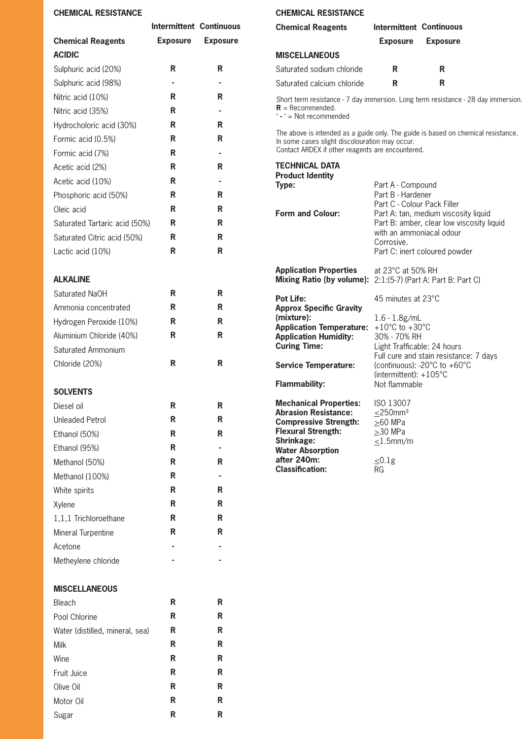### **CHE**

| <b>CHEMICAL RESISTANCE</b>    |                                | <b>CHEMICAL RESISTANCE</b> |                                                                                                                                                                                         |                                                                                                                  |                 |  |
|-------------------------------|--------------------------------|----------------------------|-----------------------------------------------------------------------------------------------------------------------------------------------------------------------------------------|------------------------------------------------------------------------------------------------------------------|-----------------|--|
|                               | <b>Intermittent Continuous</b> |                            | <b>Chemical Reagents</b>                                                                                                                                                                | <b>Intermittent Continuous</b>                                                                                   |                 |  |
| <b>Chemical Reagents</b>      | <b>Exposure</b>                | <b>Exposure</b>            |                                                                                                                                                                                         | <b>Exposure</b>                                                                                                  | <b>Exposure</b> |  |
| <b>ACIDIC</b>                 |                                |                            | <b>MISCELLANEOUS</b>                                                                                                                                                                    |                                                                                                                  |                 |  |
| Sulphuric acid (20%)          | R                              | $\mathsf{R}$               | Saturated sodium chloride                                                                                                                                                               | R                                                                                                                | R               |  |
| Sulphuric acid (98%)          | ٠                              | ٠                          | Saturated calcium chloride                                                                                                                                                              | $\mathsf{R}$                                                                                                     | R               |  |
| Nitric acid (10%)             | R                              | R                          | Short term resistance - 7 day immersion. Long term resistance - 28 day immersion.                                                                                                       |                                                                                                                  |                 |  |
| Nitric acid (35%)             | R                              |                            | $R =$ Recommended.<br>$i - i = Not$ recommended                                                                                                                                         |                                                                                                                  |                 |  |
| Hydrocholoric acid (30%)      | R                              | R                          |                                                                                                                                                                                         |                                                                                                                  |                 |  |
| Formic acid (0.5%)            | R                              | $\mathsf{R}$               | The above is intended as a guide only. The guide is based on chemical resistance.<br>In some cases slight discolouration may occur.<br>Contact ARDEX if other reagents are encountered. |                                                                                                                  |                 |  |
| Formic acid (7%)              | R                              |                            |                                                                                                                                                                                         |                                                                                                                  |                 |  |
| Acetic acid (2%)              | R                              | R                          | <b>TECHNICAL DATA</b>                                                                                                                                                                   |                                                                                                                  |                 |  |
| Acetic acid (10%)             | R                              |                            | <b>Product Identity</b><br>Type:                                                                                                                                                        | Part A - Compound                                                                                                |                 |  |
| Phosphoric acid (50%)         | R                              | $\mathsf R$                |                                                                                                                                                                                         | Part B - Hardener                                                                                                |                 |  |
| Oleic acid                    | R                              | R                          | <b>Form and Colour:</b>                                                                                                                                                                 | Part C - Colour Pack Filler<br>Part A: tan, medium viscosity liquid<br>Part B: amber, clear low viscosity liquid |                 |  |
| Saturated Tartaric acid (50%) | R                              | R                          |                                                                                                                                                                                         |                                                                                                                  |                 |  |
| Saturated Citric acid (50%)   | $\mathsf R$                    | $\mathsf{R}$               | with an ammoniacal odour<br>Corrosive.                                                                                                                                                  |                                                                                                                  |                 |  |
| Lactic acid (10%)             | R                              | $\mathsf{R}$               | Part C: inert coloured powder                                                                                                                                                           |                                                                                                                  |                 |  |
| <b>ALKALINE</b>               |                                |                            | <b>Application Properties</b><br>Mixing Ratio (by volume): 2:1:(5-7) (Part A: Part B: Part C)                                                                                           | at 23°C at 50% RH                                                                                                |                 |  |
| Saturated NaOH                | R                              | R                          | <b>Pot Life:</b>                                                                                                                                                                        | 45 minutes at 23°C                                                                                               |                 |  |
| Ammonia concentrated          | R                              | R                          | <b>Approx Specific Gravity</b>                                                                                                                                                          |                                                                                                                  |                 |  |
| Hydrogen Peroxide (10%)       | R                              | R                          | (mixture):<br><b>Application Temperature:</b> $+10^{\circ}$ C to $+30^{\circ}$ C                                                                                                        | $1.6 - 1.8g/mL$                                                                                                  |                 |  |
| Aluminium Chloride (40%)      | R                              | $\mathsf{R}$               | <b>Application Humidity:</b>                                                                                                                                                            | 30% - 70% RH                                                                                                     |                 |  |
| Saturated Ammonium            |                                |                            | <b>Curing Time:</b>                                                                                                                                                                     | Light Trafficable: 24 hours                                                                                      |                 |  |
| Chloride (20%)                | $\mathsf{R}$                   | $\mathsf{R}$               | <b>Service Temperature:</b>                                                                                                                                                             | Full cure and stain resistance: 7 days<br>(continuous): -20°C to +60°C<br>(intermittent): $+105^{\circ}$ C       |                 |  |
| <b>SOLVENTS</b>               |                                |                            | <b>Flammability:</b>                                                                                                                                                                    | Not flammable                                                                                                    |                 |  |

**Mechanical Properties: Abrasion Resistance: Compressive Strength: Flexural Strength: Shrinkage: Water Absorption after 240m: Classification:** 

ISO 13007  $\leq$ 250mm<sup>3</sup>  $\geq 60$  MPa  $\geq$ 30 MPa  $\leq$ 1.5mm/m

 $\leq$ 0.1g RG

| Diesel oil             | R | R |
|------------------------|---|---|
| <b>Unleaded Petrol</b> | R | R |
| Ethanol (50%)          | R | R |
| Ethanol (95%)          | R |   |
| Methanol (50%)         | R | R |
| Methanol (100%)        | R |   |
| White spirits          | R | R |
| Xylene                 | R | R |
| 1,1,1 Trichloroethane  | R | R |
| Mineral Turpentine     | R | R |
| Acetone                |   |   |
| Metheylene chloride    |   |   |

### **MISCELLANEOUS**

| Bleach                          | R | R |
|---------------------------------|---|---|
| Pool Chlorine                   | R | R |
| Water (distilled, mineral, sea) | R | R |
| Milk                            | R | R |
| Wine                            | R | R |
| Fruit Juice                     | R | R |
| Olive Oil                       | R | R |
| Motor Oil                       | R | R |
| Sugar                           | R | R |